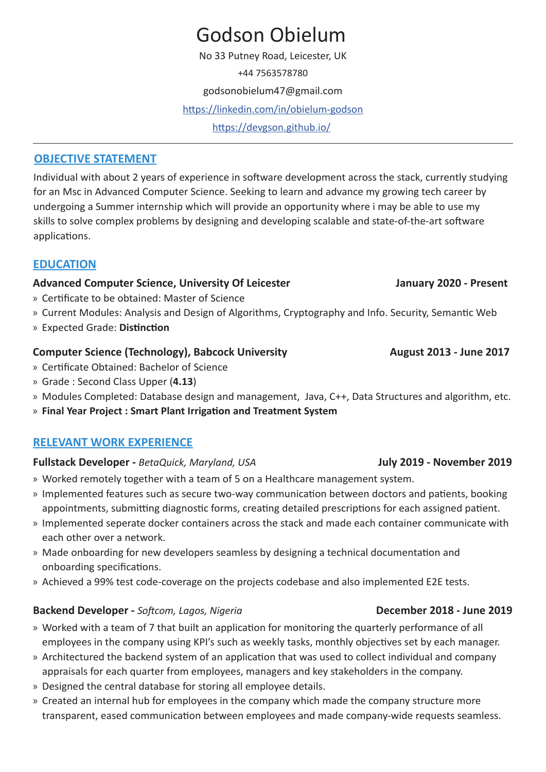# Godson Obielum

No 33 Putney Road, Leicester, UK

+44 7563578780

godsonobielum47@gmail.com

<https://linkedin.com/in/obielum-godson>

https://devgson.github.io/

### **OBJECTIVE STATEMENT**

Individual with about 2 years of experience in software development across the stack, currently studying for an Msc in Advanced Computer Science. Seeking to learn and advance my growing tech career by undergoing a Summer internship which will provide an opportunity where i may be able to use my skills to solve complex problems by designing and developing scalable and state-of-the-art software applications.

# **EDUCATION**

#### Advanced Computer Science, University Of Leicester **January 2020** - Present

- » Certificate to be obtained: Master of Science
- » Current Modules: Analysis and Design of Algorithms, Cryptography and Info. Security, Semantic Web
- » Expected Grade: **Distinction**

#### **Computer Science (Technology), Babcock University Manuel 2013 - June 2017**

- » Certificate Obtained: Bachelor of Science
- » Grade : Second Class Upper (**4.13**)
- » Modules Completed: Database design and management, Java, C++, Data Structures and algorithm, etc.
- » **Final Year Project : Smart Plant Irrigation and Treatment System**

### **RELEVANT WORK EXPERIENCE**

#### **Fullstack Developer -** *BetaQuick, Maryland, USA* **July 2019 - November 2019**

- » Worked remotely together with a team of 5 on a Healthcare management system.
- » Implemented features such as secure two-way communication between doctors and patients, booking appointments, submitting diagnostic forms, creating detailed prescriptions for each assigned patient.
- » Implemented seperate docker containers across the stack and made each container communicate with each other over a network.
- » Made onboarding for new developers seamless by designing a technical documentation and onboarding specifications.
- » Achieved a 99% test code-coverage on the projects codebase and also implemented E2E tests.

#### **Backend Developer** - *Softcom, Lagos, Nigeria December 2018* **- June 2019**

- » Worked with a team of 7 that built an application for monitoring the quarterly performance of all employees in the company using KPI's such as weekly tasks, monthly objectives set by each manager.
- » Architectured the backend system of an application that was used to collect individual and company appraisals for each quarter from employees, managers and key stakeholders in the company.
- » Designed the central database for storing all employee details.
- » Created an internal hub for employees in the company which made the company structure more transparent, eased communication between employees and made company-wide requests seamless.